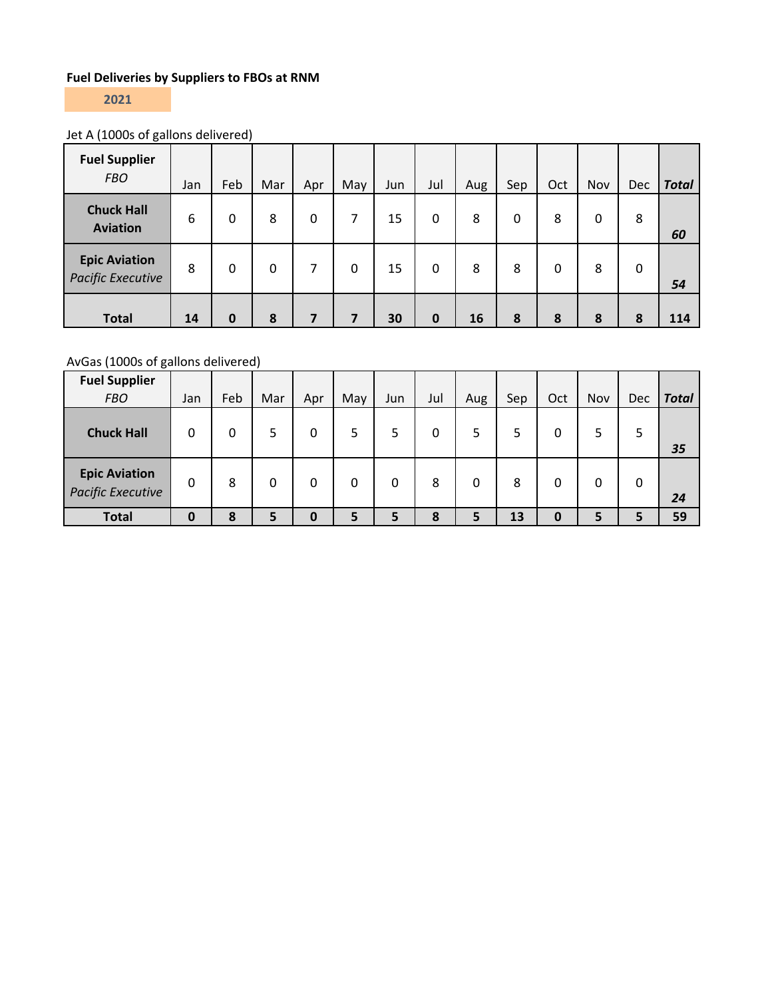## **Fuel Deliveries by Suppliers to FBOs at RNM**

**2021**

# Jet A (1000s of gallons delivered)

| <b>Fuel Supplier</b><br><b>FBO</b>               | Jan | Feb          | Mar | Apr      | May | Jun | Jul | Aug | Sep | Oct          | Nov | Dec | <b>Total</b> |
|--------------------------------------------------|-----|--------------|-----|----------|-----|-----|-----|-----|-----|--------------|-----|-----|--------------|
| <b>Chuck Hall</b><br><b>Aviation</b>             | 6   | $\Omega$     | 8   | $\Omega$ | 7   | 15  | 0   | 8   | 0   | 8            | 0   | 8   | 60           |
| <b>Epic Aviation</b><br><b>Pacific Executive</b> | 8   | $\mathbf{0}$ | 0   | 7        | 0   | 15  | 0   | 8   | 8   | $\mathbf{0}$ | 8   | 0   | 54           |
| <b>Total</b>                                     | 14  | $\bf{0}$     | 8   | 7        | 7   | 30  | 0   | 16  | 8   | 8            | 8   | 8   | 114          |

## AvGas (1000s of gallons delivered)

| <b>Fuel Supplier</b>                      |             |     |     |          |     |     |     |     |     |             |     |     |              |
|-------------------------------------------|-------------|-----|-----|----------|-----|-----|-----|-----|-----|-------------|-----|-----|--------------|
| <b>FBO</b>                                | Jan         | Feb | Mar | Apr      | May | Jun | Jul | Aug | Sep | Oct         | Nov | Dec | <b>Total</b> |
| <b>Chuck Hall</b>                         | 0           | 0   | 5   | 0        | 5   |     | 0   | 5   |     | 0           |     | 5   | 35           |
| <b>Epic Aviation</b><br>Pacific Executive | 0           | 8   | 0   | $\Omega$ | 0   | 0   | 8   | 0   | 8   | 0           |     | 0   | 24           |
| <b>Total</b>                              | $\mathbf 0$ | 8   | 5   | $\bf{0}$ | 5   | 5   | 8   | 5   | 13  | $\mathbf 0$ | 5   | 5   | 59           |